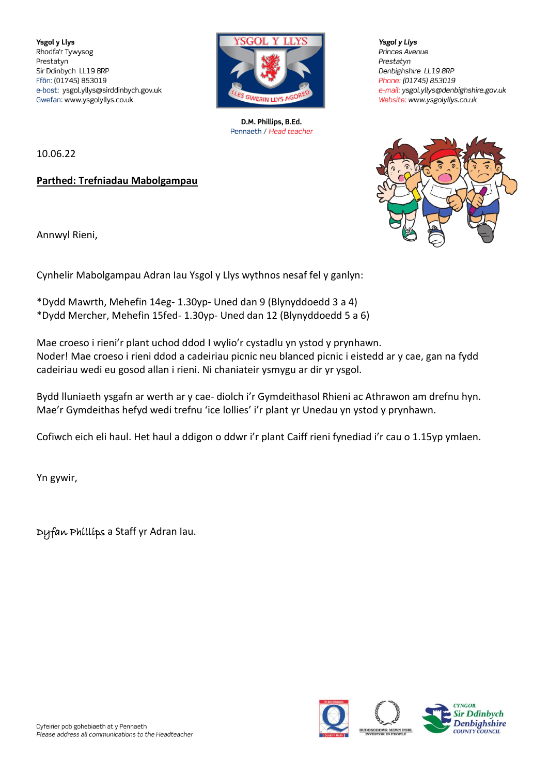**Ysgol y Llys** Rhodfa'r Tywysog Prestatyn Sir Ddinbych LL19 8RP Ffôn: (01745) 853019 e-bost: ysgol.yllys@sirddinbych.gov.uk Gwefan: www.ysgolyllys.co.uk



D.M. Phillips, B.Ed. Pennaeth / Head teacher

10.06.22

**Parthed: Trefniadau Mabolgampau**

Annwyl Rieni,

Cynhelir Mabolgampau Adran Iau Ysgol y Llys wythnos nesaf fel y ganlyn:

\*Dydd Mawrth, Mehefin 14eg- 1.30yp- Uned dan 9 (Blynyddoedd 3 a 4) \*Dydd Mercher, Mehefin 15fed- 1.30yp- Uned dan 12 (Blynyddoedd 5 a 6)

Mae croeso i rieni'r plant uchod ddod I wylio'r cystadlu yn ystod y prynhawn. Noder! Mae croeso i rieni ddod a cadeiriau picnic neu blanced picnic i eistedd ar y cae, gan na fydd cadeiriau wedi eu gosod allan i rieni. Ni chaniateir ysmygu ar dir yr ysgol.

Bydd lluniaeth ysgafn ar werth ar y cae- diolch i'r Gymdeithasol Rhieni ac Athrawon am drefnu hyn. Mae'r Gymdeithas hefyd wedi trefnu 'ice lollies' i'r plant yr Unedau yn ystod y prynhawn.

Cofiwch eich eli haul. Het haul a ddigon o ddwr i'r plant Caiff rieni fynediad i'r cau o 1.15yp ymlaen.

Yn gywir,

Dyfan Phillips a Staff yr Adran Iau.

Prestatyn Denbighshire LL19 8RP Phone: (01745) 853019 e-mail: ysgol.yllys@denbighshire.gov.uk Website: www.ysgolyllys.co.uk

**Ysgol y Llys** 

Princes Avenue